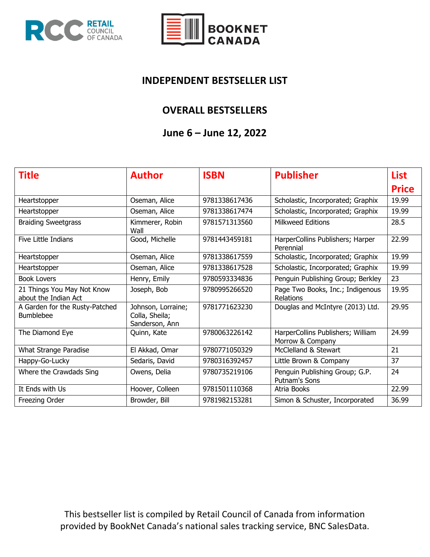



#### **INDEPENDENT BESTSELLER LIST**

#### **OVERALL BESTSELLERS**

#### **June 6 – June 12, 2022**

| <b>Title</b>                                       | <b>Author</b>                                          | <b>ISBN</b>   | <b>Publisher</b>                                      | <b>List</b>  |
|----------------------------------------------------|--------------------------------------------------------|---------------|-------------------------------------------------------|--------------|
|                                                    |                                                        |               |                                                       | <b>Price</b> |
| Heartstopper                                       | Oseman, Alice                                          | 9781338617436 | Scholastic, Incorporated; Graphix                     | 19.99        |
| Heartstopper                                       | Oseman, Alice                                          | 9781338617474 | Scholastic, Incorporated; Graphix                     | 19.99        |
| <b>Braiding Sweetgrass</b>                         | Kimmerer, Robin<br>Wall                                | 9781571313560 | <b>Milkweed Editions</b>                              | 28.5         |
| Five Little Indians                                | Good, Michelle                                         | 9781443459181 | HarperCollins Publishers; Harper<br>Perennial         | 22.99        |
| Heartstopper                                       | Oseman, Alice                                          | 9781338617559 | Scholastic, Incorporated; Graphix                     | 19.99        |
| Heartstopper                                       | Oseman, Alice                                          | 9781338617528 | Scholastic, Incorporated; Graphix                     | 19.99        |
| <b>Book Lovers</b>                                 | Henry, Emily                                           | 9780593334836 | Penguin Publishing Group; Berkley                     | 23           |
| 21 Things You May Not Know<br>about the Indian Act | Joseph, Bob                                            | 9780995266520 | Page Two Books, Inc.; Indigenous<br><b>Relations</b>  | 19.95        |
| A Garden for the Rusty-Patched<br><b>Bumblebee</b> | Johnson, Lorraine;<br>Colla, Sheila;<br>Sanderson, Ann | 9781771623230 | Douglas and McIntyre (2013) Ltd.                      | 29.95        |
| The Diamond Eye                                    | Quinn, Kate                                            | 9780063226142 | HarperCollins Publishers; William<br>Morrow & Company | 24.99        |
| What Strange Paradise                              | El Akkad, Omar                                         | 9780771050329 | McClelland & Stewart                                  | 21           |
| Happy-Go-Lucky                                     | Sedaris, David                                         | 9780316392457 | Little Brown & Company                                | 37           |
| Where the Crawdads Sing                            | Owens, Delia                                           | 9780735219106 | Penguin Publishing Group; G.P.<br>Putnam's Sons       | 24           |
| It Ends with Us                                    | Hoover, Colleen                                        | 9781501110368 | Atria Books                                           | 22.99        |
| Freezing Order                                     | Browder, Bill                                          | 9781982153281 | Simon & Schuster, Incorporated                        | 36.99        |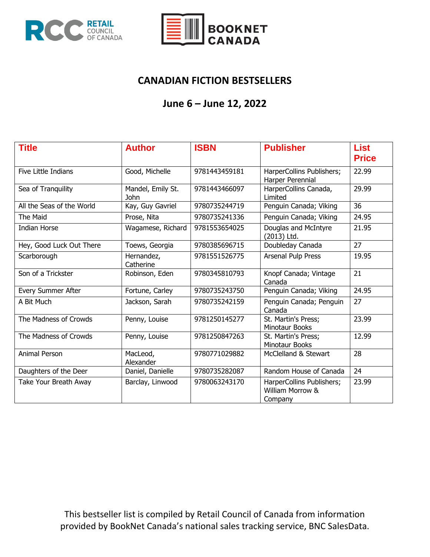



### **CANADIAN FICTION BESTSELLERS**

# **June 6 – June 12, 2022**

| <b>Title</b>              | <b>Author</b>             | <b>ISBN</b>   | <b>Publisher</b>                                         | <b>List</b><br><b>Price</b> |
|---------------------------|---------------------------|---------------|----------------------------------------------------------|-----------------------------|
| Five Little Indians       | Good, Michelle            | 9781443459181 | HarperCollins Publishers;<br>Harper Perennial            | 22.99                       |
| Sea of Tranquility        | Mandel, Emily St.<br>John | 9781443466097 | HarperCollins Canada,<br>Limited                         | 29.99                       |
| All the Seas of the World | Kay, Guy Gavriel          | 9780735244719 | Penguin Canada; Viking                                   | 36                          |
| The Maid                  | Prose, Nita               | 9780735241336 | Penguin Canada; Viking                                   | 24.95                       |
| Indian Horse              | Wagamese, Richard         | 9781553654025 | Douglas and McIntyre<br>(2013) Ltd.                      | 21.95                       |
| Hey, Good Luck Out There  | Toews, Georgia            | 9780385696715 | Doubleday Canada                                         | 27                          |
| Scarborough               | Hernandez,<br>Catherine   | 9781551526775 | Arsenal Pulp Press                                       | 19.95                       |
| Son of a Trickster        | Robinson, Eden            | 9780345810793 | Knopf Canada; Vintage<br>Canada                          | 21                          |
| Every Summer After        | Fortune, Carley           | 9780735243750 | Penguin Canada; Viking                                   | 24.95                       |
| A Bit Much                | Jackson, Sarah            | 9780735242159 | Penguin Canada; Penguin<br>Canada                        | 27                          |
| The Madness of Crowds     | Penny, Louise             | 9781250145277 | St. Martin's Press;<br>Minotaur Books                    | 23.99                       |
| The Madness of Crowds     | Penny, Louise             | 9781250847263 | St. Martin's Press;<br><b>Minotaur Books</b>             | 12.99                       |
| Animal Person             | MacLeod,<br>Alexander     | 9780771029882 | McClelland & Stewart                                     | 28                          |
| Daughters of the Deer     | Daniel, Danielle          | 9780735282087 | Random House of Canada                                   | 24                          |
| Take Your Breath Away     | Barclay, Linwood          | 9780063243170 | HarperCollins Publishers;<br>William Morrow &<br>Company | 23.99                       |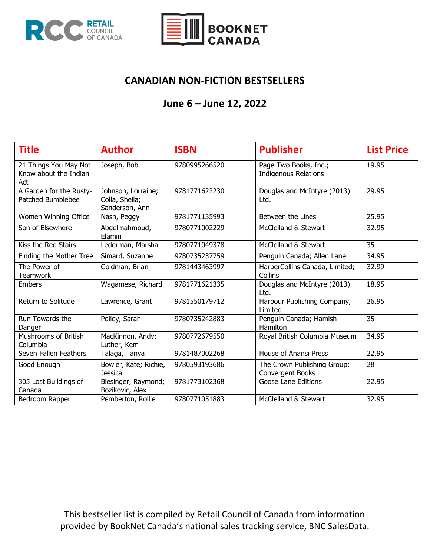



### **CANADIAN NON-FICTION BESTSELLERS**

# **June 6 – June 12, 2022**

| <b>Title</b>                                          | <b>Author</b>                                          | <b>ISBN</b>   | <b>Publisher</b>                                     | <b>List Price</b> |
|-------------------------------------------------------|--------------------------------------------------------|---------------|------------------------------------------------------|-------------------|
| 21 Things You May Not<br>Know about the Indian<br>Act | Joseph, Bob                                            | 9780995266520 | Page Two Books, Inc.;<br><b>Indigenous Relations</b> | 19.95             |
| A Garden for the Rusty-<br>Patched Bumblebee          | Johnson, Lorraine;<br>Colla, Sheila;<br>Sanderson, Ann | 9781771623230 | Douglas and McIntyre (2013)<br>Ltd.                  | 29.95             |
| Women Winning Office                                  | Nash, Peggy                                            | 9781771135993 | Between the Lines                                    | 25.95             |
| Son of Elsewhere                                      | Abdelmahmoud,<br>Elamin                                | 9780771002229 | McClelland & Stewart                                 | 32.95             |
| Kiss the Red Stairs                                   | Lederman, Marsha                                       | 9780771049378 | McClelland & Stewart                                 | 35                |
| Finding the Mother Tree                               | Simard, Suzanne                                        | 9780735237759 | Penguin Canada; Allen Lane                           | 34.95             |
| The Power of<br>Teamwork                              | Goldman, Brian                                         | 9781443463997 | HarperCollins Canada, Limited;<br>Collins            | 32.99             |
| Embers                                                | Wagamese, Richard                                      | 9781771621335 | Douglas and McIntyre (2013)<br>Ltd.                  | 18.95             |
| Return to Solitude                                    | Lawrence, Grant                                        | 9781550179712 | Harbour Publishing Company,<br>Limited               | 26.95             |
| Run Towards the<br>Danger                             | Polley, Sarah                                          | 9780735242883 | Penguin Canada; Hamish<br>Hamilton                   | 35                |
| Mushrooms of British<br>Columbia                      | MacKinnon, Andy;<br>Luther, Kem                        | 9780772679550 | Royal British Columbia Museum                        | 34.95             |
| Seven Fallen Feathers                                 | Talaga, Tanya                                          | 9781487002268 | <b>House of Anansi Press</b>                         | 22.95             |
| Good Enough                                           | Bowler, Kate; Richie,<br><b>Jessica</b>                | 9780593193686 | The Crown Publishing Group;<br>Convergent Books      | 28                |
| 305 Lost Buildings of<br>Canada                       | Biesinger, Raymond;<br>Bozikovic, Alex                 | 9781773102368 | <b>Goose Lane Editions</b>                           | 22.95             |
| Bedroom Rapper                                        | Pemberton, Rollie                                      | 9780771051883 | McClelland & Stewart                                 | 32.95             |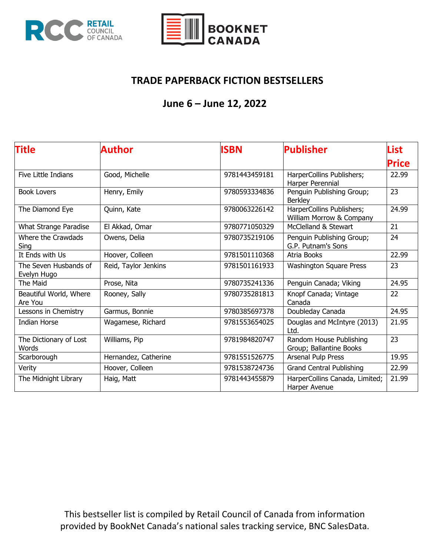



### **TRADE PAPERBACK FICTION BESTSELLERS**

# **June 6 – June 12, 2022**

| <b>Title</b>                         | Author               | <b>ISBN</b>   | <b>Publisher</b>                                      | List         |
|--------------------------------------|----------------------|---------------|-------------------------------------------------------|--------------|
|                                      |                      |               |                                                       | <b>Price</b> |
| Five Little Indians                  | Good, Michelle       | 9781443459181 | HarperCollins Publishers;<br>Harper Perennial         | 22.99        |
| <b>Book Lovers</b>                   | Henry, Emily         | 9780593334836 | Penguin Publishing Group;<br><b>Berkley</b>           | 23           |
| The Diamond Eye                      | Quinn, Kate          | 9780063226142 | HarperCollins Publishers;<br>William Morrow & Company | 24.99        |
| What Strange Paradise                | El Akkad, Omar       | 9780771050329 | McClelland & Stewart                                  | 21           |
| Where the Crawdads<br>Sing           | Owens, Delia         | 9780735219106 | Penguin Publishing Group;<br>G.P. Putnam's Sons       | 24           |
| It Ends with Us                      | Hoover, Colleen      | 9781501110368 | Atria Books                                           | 22.99        |
| The Seven Husbands of<br>Evelyn Hugo | Reid, Taylor Jenkins | 9781501161933 | <b>Washington Square Press</b>                        | 23           |
| The Maid                             | Prose, Nita          | 9780735241336 | Penguin Canada; Viking                                | 24.95        |
| Beautiful World, Where<br>Are You    | Rooney, Sally        | 9780735281813 | Knopf Canada; Vintage<br>Canada                       | 22           |
| Lessons in Chemistry                 | Garmus, Bonnie       | 9780385697378 | Doubleday Canada                                      | 24.95        |
| <b>Indian Horse</b>                  | Wagamese, Richard    | 9781553654025 | Douglas and McIntyre (2013)<br>Ltd.                   | 21.95        |
| The Dictionary of Lost<br>Words      | Williams, Pip        | 9781984820747 | Random House Publishing<br>Group; Ballantine Books    | 23           |
| Scarborough                          | Hernandez, Catherine | 9781551526775 | Arsenal Pulp Press                                    | 19.95        |
| Verity                               | Hoover, Colleen      | 9781538724736 | <b>Grand Central Publishing</b>                       | 22.99        |
| The Midnight Library                 | Haig, Matt           | 9781443455879 | HarperCollins Canada, Limited;<br>Harper Avenue       | 21.99        |